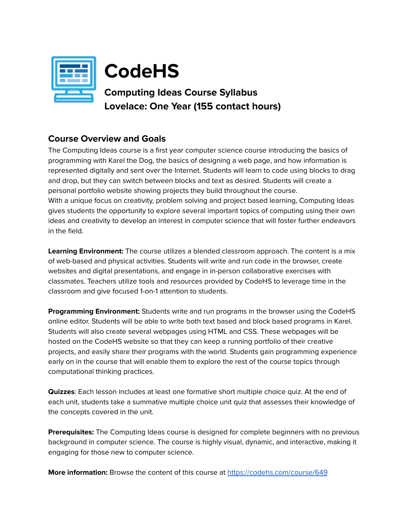

# **CodeHS**

# **Computing Ideas Course Syllabus Lovelace: One Year (155 contact hours)**

### **Course Overview and Goals**

The Computing Ideas course is a first year computer science course introducing the basics of programming with Karel the Dog, the basics of designing a web page, and how information is represented digitally and sent over the Internet. Students will learn to code using blocks to drag and drop, but they can switch between blocks and text as desired. Students will create a personal portfolio website showing projects they build throughout the course. With a unique focus on creativity, problem solving and project based learning, Computing Ideas gives students the opportunity to explore several important topics of computing using their own ideas and creativity to develop an interest in computer science that will foster further endeavors in the field.

**Learning Environment:** The course utilizes a blended classroom approach. The content is a mix of web-based and physical activities. Students will write and run code in the browser, create websites and digital presentations, and engage in in-person collaborative exercises with classmates. Teachers utilize tools and resources provided by CodeHS to leverage time in the classroom and give focused 1-on-1 attention to students.

**Programming Environment:** Students write and run programs in the browser using the CodeHS online editor. Students will be able to write both text based and block based programs in Karel. Students will also create several webpages using HTML and CSS. These webpages will be hosted on the CodeHS website so that they can keep a running portfolio of their creative projects, and easily share their programs with the world. Students gain programming experience early on in the course that will enable them to explore the rest of the course topics through computational thinking practices.

**Quizzes**: Each lesson includes at least one formative short multiple choice quiz. At the end of each unit, students take a summative multiple choice unit quiz that assesses their knowledge of the concepts covered in the unit.

**Prerequisites:** The Computing Ideas course is designed for complete beginners with no previous background in computer science. The course is highly visual, dynamic, and interactive, making it engaging for those new to computer science.

**More information:** Browse the content of this course at <https://codehs.com/course/649>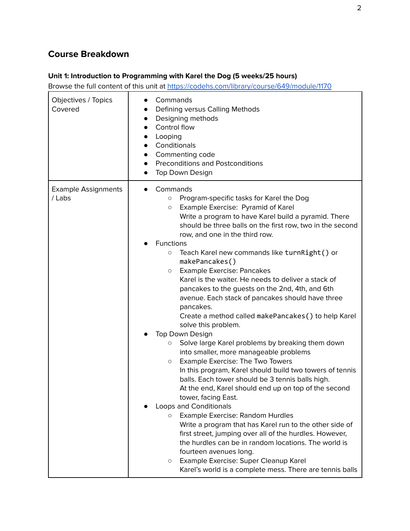## **Course Breakdown**

#### **Unit 1: Introduction to Programming with Karel the Dog (5 weeks/25 hours)**

| Objectives / Topics<br>Covered       | Commands<br>Defining versus Calling Methods<br>$\bullet$<br>Designing methods<br>$\bullet$<br>Control flow<br>$\bullet$<br>Looping<br>$\bullet$<br>Conditionals<br>$\bullet$<br>Commenting code<br>$\bullet$<br><b>Preconditions and Postconditions</b><br>$\bullet$<br>Top Down Design<br>$\bullet$                                                                                                                                                                                                                                                                                                                                                                                                                                                                                                                                                                                                                                                                                                                                                                                                                                                                                                                                                                                                                                                                                                                                                           |
|--------------------------------------|----------------------------------------------------------------------------------------------------------------------------------------------------------------------------------------------------------------------------------------------------------------------------------------------------------------------------------------------------------------------------------------------------------------------------------------------------------------------------------------------------------------------------------------------------------------------------------------------------------------------------------------------------------------------------------------------------------------------------------------------------------------------------------------------------------------------------------------------------------------------------------------------------------------------------------------------------------------------------------------------------------------------------------------------------------------------------------------------------------------------------------------------------------------------------------------------------------------------------------------------------------------------------------------------------------------------------------------------------------------------------------------------------------------------------------------------------------------|
| <b>Example Assignments</b><br>/ Labs | Commands<br>Program-specific tasks for Karel the Dog<br>$\circ$<br>Example Exercise: Pyramid of Karel<br>$\circ$<br>Write a program to have Karel build a pyramid. There<br>should be three balls on the first row, two in the second<br>row, and one in the third row.<br><b>Functions</b><br>Teach Karel new commands like turnRight() or<br>$\circ$<br>makePancakes()<br><b>Example Exercise: Pancakes</b><br>$\circ$<br>Karel is the waiter. He needs to deliver a stack of<br>pancakes to the guests on the 2nd, 4th, and 6th<br>avenue. Each stack of pancakes should have three<br>pancakes.<br>Create a method called makePancakes () to help Karel<br>solve this problem.<br>Top Down Design<br>Solve large Karel problems by breaking them down<br>О<br>into smaller, more manageable problems<br>Example Exercise: The Two Towers<br>$\circ$<br>In this program, Karel should build two towers of tennis<br>balls. Each tower should be 3 tennis balls high.<br>At the end, Karel should end up on top of the second<br>tower, facing East.<br><b>Loops and Conditionals</b><br>Example Exercise: Random Hurdles<br>$\circ$<br>Write a program that has Karel run to the other side of<br>first street, jumping over all of the hurdles. However,<br>the hurdles can be in random locations. The world is<br>fourteen avenues long.<br>Example Exercise: Super Cleanup Karel<br>$\circ$<br>Karel's world is a complete mess. There are tennis balls |
|                                      |                                                                                                                                                                                                                                                                                                                                                                                                                                                                                                                                                                                                                                                                                                                                                                                                                                                                                                                                                                                                                                                                                                                                                                                                                                                                                                                                                                                                                                                                |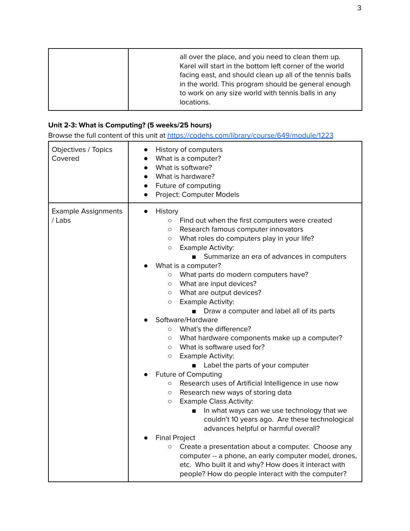#### **Unit 2-3: What is Computing? (5 weeks/25 hours)**

| Objectives / Topics<br>Covered       | History of computers<br>What is a computer?<br>$\bullet$<br>What is software?<br>$\bullet$<br>What is hardware?<br>$\bullet$<br>Future of computing<br>$\bullet$<br>Project: Computer Models<br>$\bullet$                                                                                                                                                                                                                                                                                                                                                                                                                                                                                                                                                                                                                                                                                                                                                                                                                                                                                                           |
|--------------------------------------|---------------------------------------------------------------------------------------------------------------------------------------------------------------------------------------------------------------------------------------------------------------------------------------------------------------------------------------------------------------------------------------------------------------------------------------------------------------------------------------------------------------------------------------------------------------------------------------------------------------------------------------------------------------------------------------------------------------------------------------------------------------------------------------------------------------------------------------------------------------------------------------------------------------------------------------------------------------------------------------------------------------------------------------------------------------------------------------------------------------------|
| <b>Example Assignments</b><br>/ Labs | History<br>$\bullet$<br>Find out when the first computers were created<br>$\circ$<br>Research famous computer innovators<br>O<br>What roles do computers play in your life?<br>O<br><b>Example Activity:</b><br>$\circ$<br>Summarize an era of advances in computers<br>$\mathbf{r}$<br>What is a computer?<br>What parts do modern computers have?<br>$\circ$<br>What are input devices?<br>$\circ$<br>What are output devices?<br>$\circ$<br><b>Example Activity:</b><br>$\circ$<br>Draw a computer and label all of its parts<br>$\blacksquare$<br>Software/Hardware<br>What's the difference?<br>$\circ$<br>What hardware components make up a computer?<br>O<br>What is software used for?<br>$\circ$<br>Example Activity:<br>$\circ$<br>Label the parts of your computer<br><b>Future of Computing</b><br>Research uses of Artificial Intelligence in use now<br>$\circ$<br>Research new ways of storing data<br>$\circ$<br><b>Example Class Activity:</b><br>$\circ$<br>In what ways can we use technology that we<br>couldn't 10 years ago. Are these technological<br>advances helpful or harmful overall? |
|                                      | <b>Final Project</b><br>Create a presentation about a computer. Choose any<br>$\circ$<br>computer -- a phone, an early computer model, drones,<br>etc. Who built it and why? How does it interact with<br>people? How do people interact with the computer?                                                                                                                                                                                                                                                                                                                                                                                                                                                                                                                                                                                                                                                                                                                                                                                                                                                         |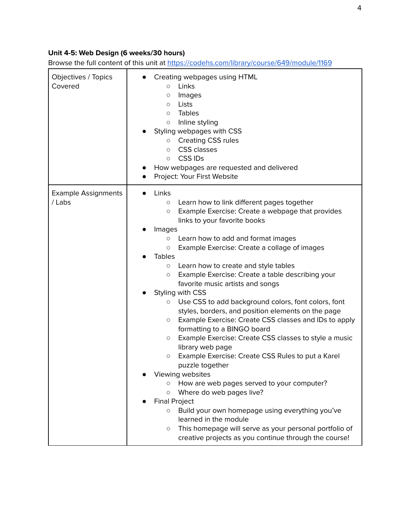#### **Unit 4-5: Web Design (6 weeks/30 hours)**

| Objectives / Topics<br>Covered       | Creating webpages using HTML<br>Links<br>$\circ$<br>Images<br>O<br>Lists<br>$\circ$<br>Tables<br>$\circ$<br>Inline styling<br>$\circ$<br>Styling webpages with CSS<br><b>Creating CSS rules</b><br>$\circ$<br><b>CSS</b> classes<br>$\circ$<br><b>CSSIDs</b><br>$\circ$<br>How webpages are requested and delivered<br>Project: Your First Website                                                                                                                                                                                                                                                                                                                                                                                                                                                                                                                                                                                                                                                                                                                                                                                                                                                                                   |
|--------------------------------------|--------------------------------------------------------------------------------------------------------------------------------------------------------------------------------------------------------------------------------------------------------------------------------------------------------------------------------------------------------------------------------------------------------------------------------------------------------------------------------------------------------------------------------------------------------------------------------------------------------------------------------------------------------------------------------------------------------------------------------------------------------------------------------------------------------------------------------------------------------------------------------------------------------------------------------------------------------------------------------------------------------------------------------------------------------------------------------------------------------------------------------------------------------------------------------------------------------------------------------------|
| <b>Example Assignments</b><br>/ Labs | Links<br>Learn how to link different pages together<br>$\circ$<br>Example Exercise: Create a webpage that provides<br>$\circ$<br>links to your favorite books<br>Images<br>Learn how to add and format images<br>$\circ$<br>Example Exercise: Create a collage of images<br>$\circ$<br><b>Tables</b><br>Learn how to create and style tables<br>$\circ$<br>Example Exercise: Create a table describing your<br>$\circ$<br>favorite music artists and songs<br>Styling with CSS<br>Use CSS to add background colors, font colors, font<br>$\circ$<br>styles, borders, and position elements on the page<br>Example Exercise: Create CSS classes and IDs to apply<br>O<br>formatting to a BINGO board<br>Example Exercise: Create CSS classes to style a music<br>$\circ$<br>library web page<br>Example Exercise: Create CSS Rules to put a Karel<br>$\circ$<br>puzzle together<br>Viewing websites<br>How are web pages served to your computer?<br>Where do web pages live?<br>$\circ$<br><b>Final Project</b><br>Build your own homepage using everything you've<br>$\circ$<br>learned in the module<br>This homepage will serve as your personal portfolio of<br>$\circ$<br>creative projects as you continue through the course! |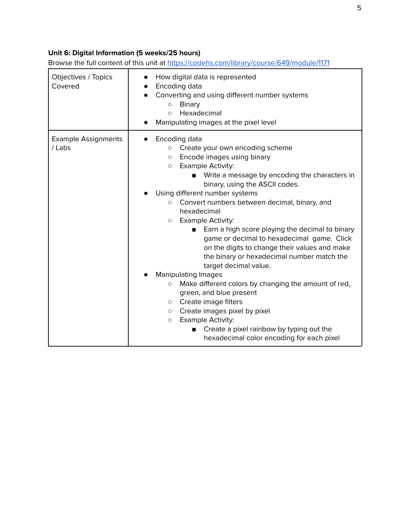#### **Unit 6: Digital Information (5 weeks/25 hours)**

| Objectives / Topics<br>Covered       | How digital data is represented<br>Encoding data<br>Converting and using different number systems<br><b>Binary</b><br>$\circ$<br>Hexadecimal<br>$\circ$<br>Manipulating images at the pixel level                                                                                                                                                                                                                                                                                                                                                                                                                                        |
|--------------------------------------|------------------------------------------------------------------------------------------------------------------------------------------------------------------------------------------------------------------------------------------------------------------------------------------------------------------------------------------------------------------------------------------------------------------------------------------------------------------------------------------------------------------------------------------------------------------------------------------------------------------------------------------|
| <b>Example Assignments</b><br>/ Labs | Encoding data<br>Create your own encoding scheme<br>$\circ$<br>Encode images using binary<br>$\circ$<br><b>Example Activity:</b><br>$\circ$<br>Write a message by encoding the characters in<br>binary, using the ASCII codes.<br>Using different number systems<br>Convert numbers between decimal, binary, and<br>$\circ$<br>hexadecimal<br><b>Example Activity:</b><br>$\circ$<br>Earn a high score playing the decimal to binary<br>game or decimal to hexadecimal game. Click<br>on the digits to change their values and make<br>the binary or hexadecimal number match the<br>target decimal value.<br><b>Manipulating Images</b> |
|                                      | Make different colors by changing the amount of red,<br>$\circlearrowright$<br>green, and blue present<br>Create image filters<br>$\circ$<br>Create images pixel by pixel<br>$\circ$<br><b>Example Activity:</b><br>$\circ$<br>Create a pixel rainbow by typing out the<br>п<br>hexadecimal color encoding for each pixel                                                                                                                                                                                                                                                                                                                |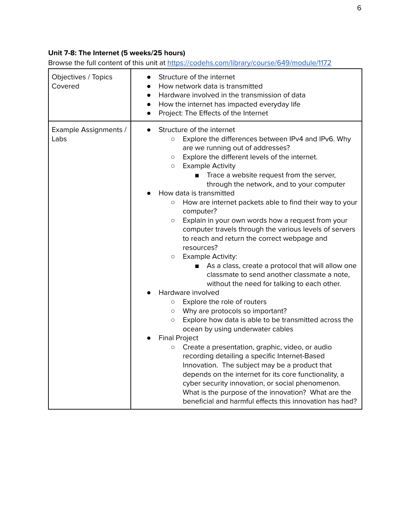#### **Unit 7-8: The Internet (5 weeks/25 hours)**

| Objectives / Topics<br>Covered | Structure of the internet<br>How network data is transmitted<br>Hardware involved in the transmission of data<br>$\bullet$<br>How the internet has impacted everyday life<br>$\bullet$<br>Project: The Effects of the Internet<br>$\bullet$                                                                                                                                                                                                                                                                                                                                                                                                                                                                                                                                                                                                                                                                                                                                                                                                                                                                                                                                                                                                                                                                                                                                                                                                                    |
|--------------------------------|----------------------------------------------------------------------------------------------------------------------------------------------------------------------------------------------------------------------------------------------------------------------------------------------------------------------------------------------------------------------------------------------------------------------------------------------------------------------------------------------------------------------------------------------------------------------------------------------------------------------------------------------------------------------------------------------------------------------------------------------------------------------------------------------------------------------------------------------------------------------------------------------------------------------------------------------------------------------------------------------------------------------------------------------------------------------------------------------------------------------------------------------------------------------------------------------------------------------------------------------------------------------------------------------------------------------------------------------------------------------------------------------------------------------------------------------------------------|
| Example Assignments /<br>Labs  | Structure of the internet<br>Explore the differences between IPv4 and IPv6. Why<br>$\circ$<br>are we running out of addresses?<br>Explore the different levels of the internet.<br>$\circ$<br><b>Example Activity</b><br>$\circ$<br>Trace a website request from the server,<br>through the network, and to your computer<br>How data is transmitted<br>How are internet packets able to find their way to your<br>$\circ$<br>computer?<br>Explain in your own words how a request from your<br>$\circ$<br>computer travels through the various levels of servers<br>to reach and return the correct webpage and<br>resources?<br><b>Example Activity:</b><br>$\circ$<br>As a class, create a protocol that will allow one<br>classmate to send another classmate a note,<br>without the need for talking to each other.<br>Hardware involved<br>Explore the role of routers<br>$\circ$<br>Why are protocols so important?<br>$\circ$<br>Explore how data is able to be transmitted across the<br>O<br>ocean by using underwater cables<br><b>Final Project</b><br>Create a presentation, graphic, video, or audio<br>$\circ$<br>recording detailing a specific Internet-Based<br>Innovation. The subject may be a product that<br>depends on the internet for its core functionality, a<br>cyber security innovation, or social phenomenon.<br>What is the purpose of the innovation? What are the<br>beneficial and harmful effects this innovation has had? |